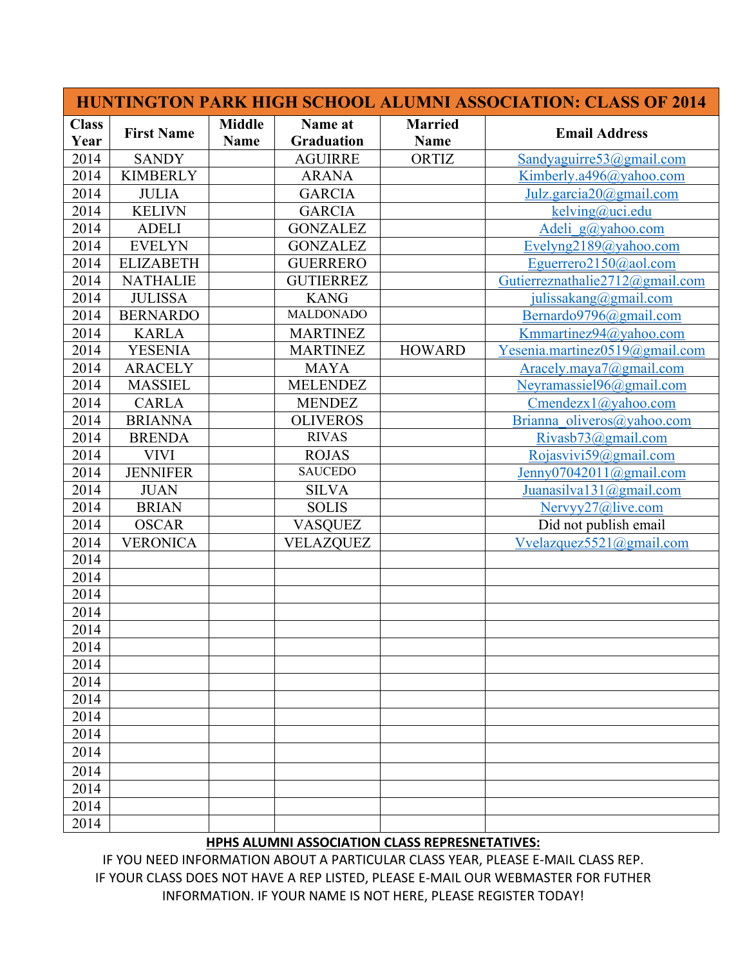|                      |                   |                              |                              | <b>HUNTINGTON PARK HIGH SCHOOL ALUMNI ASSOCIATION: CLASS OF 2014</b> |                                          |  |
|----------------------|-------------------|------------------------------|------------------------------|----------------------------------------------------------------------|------------------------------------------|--|
| <b>Class</b><br>Year | <b>First Name</b> | <b>Middle</b><br><b>Name</b> | Name at<br><b>Graduation</b> | <b>Married</b><br><b>Name</b>                                        | <b>Email Address</b>                     |  |
| 2014                 | <b>SANDY</b>      |                              | <b>AGUIRRE</b>               | ORTIZ                                                                | Sandyaguirre53@gmail.com                 |  |
| 2014                 | <b>KIMBERLY</b>   |                              | <b>ARANA</b>                 |                                                                      | Kimberly.a496@yahoo.com                  |  |
| 2014                 | <b>JULIA</b>      |                              | <b>GARCIA</b>                |                                                                      | Julz.garcia20@gmail.com                  |  |
| 2014                 | <b>KELIVN</b>     |                              | <b>GARCIA</b>                |                                                                      | kelving@uci.edu                          |  |
| 2014                 | <b>ADELI</b>      |                              | <b>GONZALEZ</b>              |                                                                      | Adeli $g(a)$ yahoo.com                   |  |
| 2014                 | <b>EVELYN</b>     |                              | <b>GONZALEZ</b>              |                                                                      | Evelyng2189@yahoo.com                    |  |
| 2014                 | <b>ELIZABETH</b>  |                              | <b>GUERRERO</b>              |                                                                      | Eguerrero2150@aol.com                    |  |
| 2014                 | <b>NATHALIE</b>   |                              | <b>GUTIERREZ</b>             |                                                                      | Gutierreznathalie2712@gmail.com          |  |
| 2014                 | <b>JULISSA</b>    |                              | <b>KANG</b>                  |                                                                      | julissakang@gmail.com                    |  |
| 2014                 | <b>BERNARDO</b>   |                              | <b>MALDONADO</b>             |                                                                      | Bernardo9796@gmail.com                   |  |
| 2014                 | <b>KARLA</b>      |                              | <b>MARTINEZ</b>              |                                                                      | Kmmartinez94@yahoo.com                   |  |
| 2014                 | <b>YESENIA</b>    |                              | <b>MARTINEZ</b>              | <b>HOWARD</b>                                                        | Yesenia.martinez0519@gmail.com           |  |
| 2014                 | <b>ARACELY</b>    |                              | <b>MAYA</b>                  |                                                                      | Aracely.maya $7@g$ mail.com              |  |
| 2014                 | <b>MASSIEL</b>    |                              | <b>MELENDEZ</b>              |                                                                      | Neyramassiel96@gmail.com                 |  |
| 2014                 | <b>CARLA</b>      |                              | <b>MENDEZ</b>                |                                                                      | $C$ mendezx $1$ ( $\partial$ ) yahoo.com |  |
| 2014                 | <b>BRIANNA</b>    |                              | <b>OLIVEROS</b>              |                                                                      | Brianna oliveros@yahoo.com               |  |
| 2014                 | <b>BRENDA</b>     |                              | <b>RIVAS</b>                 |                                                                      | Rivasb73@gmail.com                       |  |
| 2014                 | <b>VIVI</b>       |                              | <b>ROJAS</b>                 |                                                                      | Rojasvivi59@gmail.com                    |  |
| 2014                 | <b>JENNIFER</b>   |                              | <b>SAUCEDO</b>               |                                                                      | Jenny07042011@gmail.com                  |  |
| 2014                 | <b>JUAN</b>       |                              | <b>SILVA</b>                 |                                                                      | Juanasilva131@gmail.com                  |  |
| 2014                 | <b>BRIAN</b>      |                              | <b>SOLIS</b>                 |                                                                      | Nervyy27@live.com                        |  |
| 2014                 | <b>OSCAR</b>      |                              | <b>VASQUEZ</b>               |                                                                      | Did not publish email                    |  |
| 2014                 | <b>VERONICA</b>   |                              | <b>VELAZQUEZ</b>             |                                                                      | Vvelazquez5521@gmail.com                 |  |
| 2014                 |                   |                              |                              |                                                                      |                                          |  |
| 2014                 |                   |                              |                              |                                                                      |                                          |  |
| 2014                 |                   |                              |                              |                                                                      |                                          |  |
| 2014                 |                   |                              |                              |                                                                      |                                          |  |
| 2014                 |                   |                              |                              |                                                                      |                                          |  |
| 2014                 |                   |                              |                              |                                                                      |                                          |  |
| 2014                 |                   |                              |                              |                                                                      |                                          |  |
| 2014                 |                   |                              |                              |                                                                      |                                          |  |
| 2014                 |                   |                              |                              |                                                                      |                                          |  |
| 2014                 |                   |                              |                              |                                                                      |                                          |  |
| 2014                 |                   |                              |                              |                                                                      |                                          |  |
| 2014                 |                   |                              |                              |                                                                      |                                          |  |
| 2014                 |                   |                              |                              |                                                                      |                                          |  |
| 2014                 |                   |                              |                              |                                                                      |                                          |  |
| 2014                 |                   |                              |                              |                                                                      |                                          |  |
| 2014                 |                   |                              |                              |                                                                      |                                          |  |

## **HPHS ALUMNI ASSOCIATION CLASS REPRESNETATIVES:**

IF YOU NEED INFORMATION ABOUT A PARTICULAR CLASS YEAR, PLEASE E-MAIL CLASS REP. IF YOUR CLASS DOES NOT HAVE A REP LISTED, PLEASE E-MAIL OUR WEBMASTER FOR FUTHER INFORMATION. IF YOUR NAME IS NOT HERE, PLEASE REGISTER TODAY!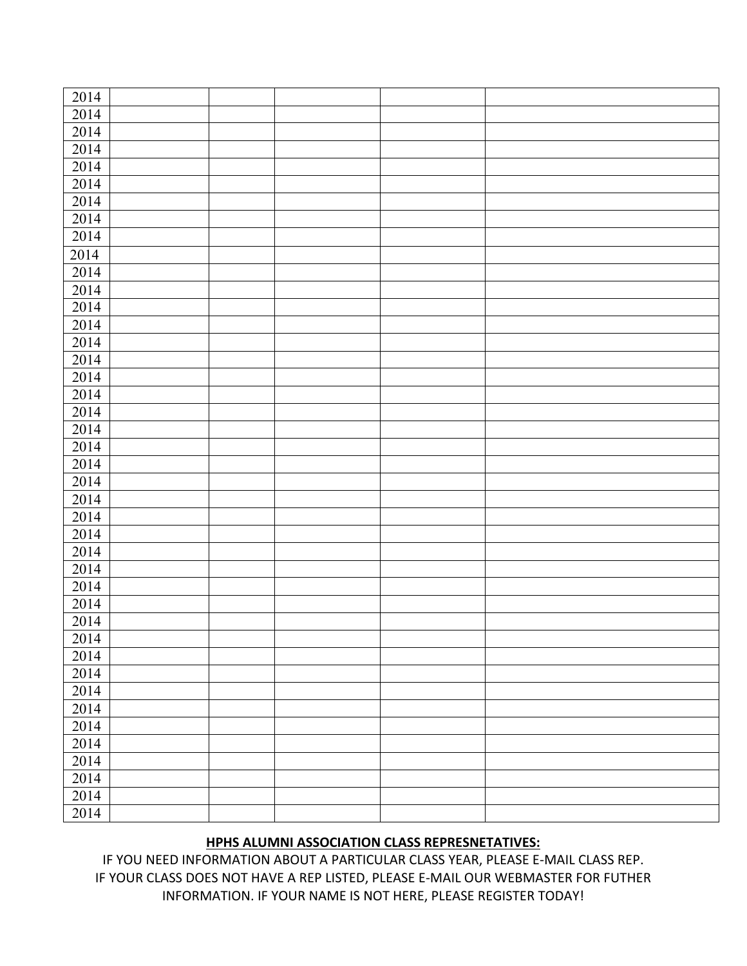| 2014 |  |  |  |
|------|--|--|--|
| 2014 |  |  |  |
| 2014 |  |  |  |
| 2014 |  |  |  |
| 2014 |  |  |  |
| 2014 |  |  |  |
| 2014 |  |  |  |
| 2014 |  |  |  |
| 2014 |  |  |  |
| 2014 |  |  |  |
| 2014 |  |  |  |
| 2014 |  |  |  |
| 2014 |  |  |  |
| 2014 |  |  |  |
| 2014 |  |  |  |
| 2014 |  |  |  |
| 2014 |  |  |  |
| 2014 |  |  |  |
| 2014 |  |  |  |
| 2014 |  |  |  |
| 2014 |  |  |  |
| 2014 |  |  |  |
| 2014 |  |  |  |
| 2014 |  |  |  |
| 2014 |  |  |  |
| 2014 |  |  |  |
| 2014 |  |  |  |
| 2014 |  |  |  |
| 2014 |  |  |  |
| 2014 |  |  |  |
| 2014 |  |  |  |
| 2014 |  |  |  |
| 2014 |  |  |  |
| 2014 |  |  |  |
| 2014 |  |  |  |
| 2014 |  |  |  |
| 2014 |  |  |  |
| 2014 |  |  |  |
| 2014 |  |  |  |
| 2014 |  |  |  |
| 2014 |  |  |  |
| 2014 |  |  |  |

## **HPHS ALUMNI ASSOCIATION CLASS REPRESNETATIVES:**

IF YOU NEED INFORMATION ABOUT A PARTICULAR CLASS YEAR, PLEASE E-MAIL CLASS REP. IF YOUR CLASS DOES NOT HAVE A REP LISTED, PLEASE E-MAIL OUR WEBMASTER FOR FUTHER INFORMATION. IF YOUR NAME IS NOT HERE, PLEASE REGISTER TODAY!